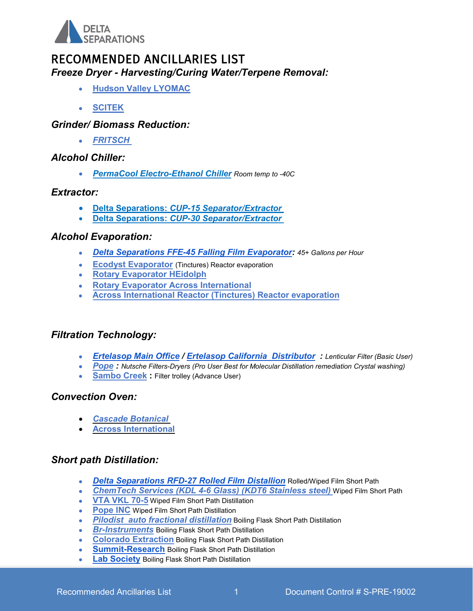

# RECOMMENDED ANCILLARIES LIST

*Freeze Dryer - Harvesting/Curing Water/Terpene Removal:*

- **[Hudson Valley LYOMAC](http://www.hudsonvalleylyomac.com/uploads/4/7/4/9/47491041/cannabis_420_freeze_dryer_050416.pdf)**
- **[SCITEK](http://medicinalcannabisproduction.com.au/cannabis-freeze-drying/)**

#### *Grinder/ Biomass Reduction:*

• *[FRITSCH](http://www.cannabis-milling.com/)*

#### *Alcohol Chiller:*

• *[PermaCool Electro-Ethanol Chiller](http://perma.cool) Room temp to -40C*

#### *Extractor:*

- **Delta Separations:** *[CUP-15 Separator/Extractor](https://www.deltaseparations.com/extraction)*
- **Delta Separations:** *[CUP-30 Separator/Extractor](https://www.deltaseparations.com/extraction)*

#### *Alcohol Evaporation:*

- *[Delta Separations FFE-45 Falling Film Evaporator:](https://www.deltaseparations.com/evaporation) 45+ Gallons per Hour*
- **[Ecodyst Evaporator](http://www.ecodyst.com/)** (Tinctures) Reactor evaporation
- **[Rotary Evaporator HEidolph](https://heidolph-instruments.com/en/products/Rotary-Evaporators~c19)**
- **[Rotary Evaporator Across International](https://acrossinternational.com/Rotary-Evaporators_c156.htm)**
- **[Across International Reactor \(Tinctures\) Reactor evaporation](https://www.acrossinternational.com/)**

### *Filtration Technology:*

- *[Ertelasop Main Office](https://ertelalsop.com/depth-filtration-equipment/filter-housings/sanitary-pharmaceutical-filter-housing/) / [Ertelasop California Distributor](https://www.clearsolutionscorp.com/product/12pydo-housing-ea/) : Lenticular Filter (Basic User)*
- *[Pope](https://www.popeinc.com/still-products/nutsche-filters-dryers) : Nutsche Filters-Dryers (Pro User Best for Molecular Distillation remediation Crystal washing)*
- **[Sambo Creek](https://sambocreeck.com/) :** Filter trolley (Advance User)

#### *Convection Oven:*

- *[Cascade Botanical](https://cascadesciences.com/dry-decarb-ovens/)*
- **[Across International](https://www.acrossinternational.com/570F-Max_c138.htm)**

#### *Short path Distillation:*

- *Delta Separations [RFD-27 Rolled Film Distallion](https://www.deltaseparations.com/distillation)* Rolled/Wiped Film Short Path
- *[ChemTech Services \(KDL 4-6 Glass\) \(KDT6 S](http://www.chemtechservicesinc.com/en/pilotplantmodsystems.html)tainless steel)* Wiped Film Short Path
- **[VTA VKL 70-5](https://www.rootsciences.com/short-path-distillation-plant-vkl-70-5)** Wiped Film Short Path Distillation
- **[Pope INC](https://www.popecannabisdistillation.com/?gclid=EAIaIQobChMIwLOak5DC2wIVAcRkCh3zqgnUEAAYASAAEgK5avD_BwE)** Wiped Film Short Path Distillation
- *[Pilodist](http://pilodist.de/) auto fractional distillation* Boiling Flask Short Path Distillation
- *[Br-Instruments](https://www.brinstrument.com/)* Boiling Flask Short Path Distillation
- **[Colorado Extraction](https://www.coloradoextraction.com/shortpath-distillation)** Boiling Flask Short Path Distillation
- **[Summit-Research](https://summit-research.tech/) Boiling Flask Short Path Distillation**
- **[Lab Society](https://labsociety.com/)** Boiling Flask Short Path Distillation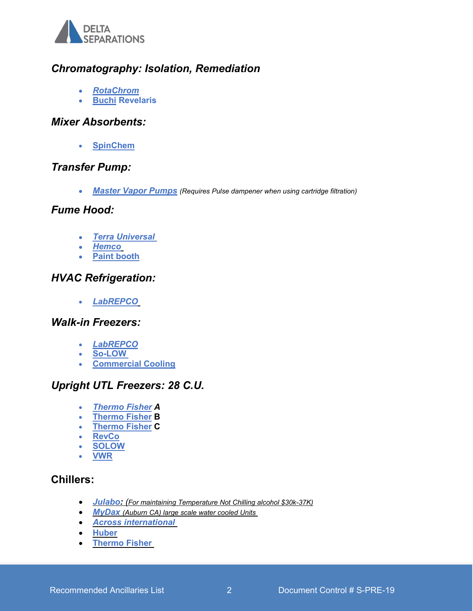

# *Chromatography: Isolation, Remediation*

- *[RotaChrom](http://rotachrom.com/)*
- **[Buchi](https://www.buchi.com/us-en/node/3394) Revelaris**

#### *Mixer Absorbents:*

• **[SpinChem](http://www.spinchem.com/)**

## *Transfer Pump:*

• *[Master Vapor Pumps](https://mastervaporpumps.com/) (Requires Pulse dampener when using cartridge filtration)*

#### *Fume Hood:*

- *Terra Universal*
- *[Hemco](http://www.hemcocorp.com/unimax.html)*
- **[Paint booth](https://www.paint-booths.com/blog/)**

### *HVAC Refrigeration:*

• *[LabREPCO](https://www.labrepco.com/store/categories/view/id/1230/title/Walk_In_Rooms)*

### *Walk-in Freezers:*

- *[LabREPCO](https://www.labrepco.com/store/categories/view/id/1243/title/Ultra_Low_Freezer_Rooms)*
- **[So-LOW](http://www.so-low.com/mini-walk-in-room)**
- **[Commercial Cooling](https://www.commercialcooling.com/medical-and-scientific/)**

## *Upright UTL Freezers: 28 C.U.*

- *[Thermo Fisher](https://www.thermofisher.com/us/en/home/life-science/lab-equipment/cold-storage/lab-freezers/ultra-low-temperature-freezers-minus-80/premium-tsx-ult-freezers.html) A*
- **[Thermo Fisher](https://www.thermofisher.com/us/en/home/life-science/lab-equipment/cold-storage/lab-freezers/ultra-low-temperature-freezers-minus-80/standard-performance-ult-freezers.html) B**
- **[Thermo Fisher](https://www.thermofisher.com/us/en/home/life-science/lab-equipment/cold-storage/lab-freezers/ultra-low-temperature-freezers-minus-80/advanced-ult-freezers.html) C**
- **[RevCo](https://www.globalindustrial.com/p/medical-lab/medical-lab-refrigeration/freezers/ultra-low-temperature-freezer-230v-abt-230v-2186-21-cu-ft?infoParam.campaignId=T9F&gclid=EAIaIQobChMI8YiKrZbC2wIVg6_sCh2roQUtEAYYASABEgLOtvD_BwE)**
- **[SOLOW](https://labfreezers.net/collections/ultra-low-temperature-freezers/products/ultra-low-upright-freezers)**
- **[VWR](https://us.vwr.com/store/product/7587827/revco-exf-series-ultra-low-temperature-freezers-thermo-scientific)**

## **Chillers:**

- *[Julabo:](https://www.julabo.com/us/products/highly-dynamic-temperature-control-systems/temperature-control-presto) (For maintaining Temperature Not Chilling alcohol \$30k-37K)*
- *[MyDax](http://mydax.com/liquid-chiller-products/cryodax-low-temp-chillers/) (Auburn CA) large scale water cooled Units*
- *[Across international](https://scisolinc.myshopify.com/collections/chillers-and-heaters/products/across-international-80-c-10l-recirculating-chiller-with-30l-min-centrifugal-pump)*
- **[Huber](http://www.huber-online.com/en/product_listing.aspx?group=2.03ah)**
- **[Thermo Fisher](https://www.thermofisher.com/order/catalog/product/179104241600)**